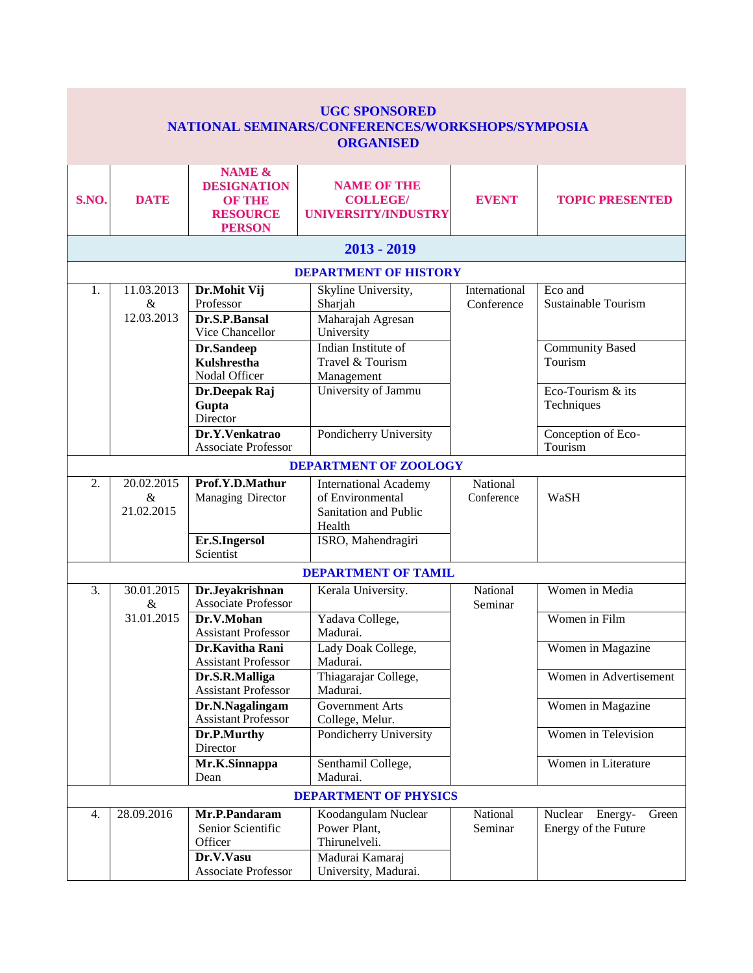| <b>UGC SPONSORED</b><br>NATIONAL SEMINARS/CONFERENCES/WORKSHOPS/SYMPOSIA<br><b>ORGANISED</b> |                                  |                                                                                              |                                                                                                 |                             |                                                        |  |  |  |  |
|----------------------------------------------------------------------------------------------|----------------------------------|----------------------------------------------------------------------------------------------|-------------------------------------------------------------------------------------------------|-----------------------------|--------------------------------------------------------|--|--|--|--|
| S.NO.                                                                                        | <b>DATE</b>                      | <b>NAME &amp;</b><br><b>DESIGNATION</b><br><b>OF THE</b><br><b>RESOURCE</b><br><b>PERSON</b> | <b>NAME OF THE</b><br><b>COLLEGE/</b><br>UNIVERSITY/INDUSTRY                                    | <b>EVENT</b>                | <b>TOPIC PRESENTED</b>                                 |  |  |  |  |
|                                                                                              |                                  |                                                                                              | $2013 - 2019$                                                                                   |                             |                                                        |  |  |  |  |
|                                                                                              |                                  |                                                                                              | <b>DEPARTMENT OF HISTORY</b>                                                                    |                             |                                                        |  |  |  |  |
| 1.                                                                                           | 11.03.2013<br>$\&$<br>12.03.2013 | Dr.Mohit Vij<br>Professor<br>Dr.S.P.Bansal                                                   | Skyline University,<br>Sharjah<br>Maharajah Agresan                                             | International<br>Conference | Eco and<br><b>Sustainable Tourism</b>                  |  |  |  |  |
|                                                                                              |                                  | Vice Chancellor<br>Dr.Sandeep<br><b>Kulshrestha</b><br>Nodal Officer<br>Dr.Deepak Raj        | University<br>Indian Institute of<br>Travel & Tourism<br>Management<br>University of Jammu      |                             | <b>Community Based</b><br>Tourism<br>Eco-Tourism & its |  |  |  |  |
|                                                                                              |                                  | Gupta<br>Director<br>Dr.Y.Venkatrao<br><b>Associate Professor</b>                            | Pondicherry University                                                                          |                             | Techniques<br>Conception of Eco-<br>Tourism            |  |  |  |  |
|                                                                                              |                                  |                                                                                              | <b>DEPARTMENT OF ZOOLOGY</b>                                                                    |                             |                                                        |  |  |  |  |
| 2.                                                                                           | 20.02.2015<br>$\&$<br>21.02.2015 | Prof.Y.D.Mathur<br>Managing Director                                                         | <b>International Academy</b><br>of Environmental<br>Sanitation and Public<br>Health             | National<br>Conference      | WaSH                                                   |  |  |  |  |
|                                                                                              |                                  | Er.S.Ingersol<br>Scientist                                                                   | ISRO, Mahendragiri                                                                              |                             |                                                        |  |  |  |  |
|                                                                                              |                                  |                                                                                              | <b>DEPARTMENT OF TAMIL</b>                                                                      |                             |                                                        |  |  |  |  |
| 3.                                                                                           | 30.01.2015<br>$\&$               | Dr.Jeyakrishnan<br><b>Associate Professor</b>                                                | Kerala University.                                                                              | National<br>Seminar         | Women in Media                                         |  |  |  |  |
|                                                                                              | 31.01.2015                       | Dr.V.Mohan<br><b>Assistant Professor</b>                                                     | Yadava College,<br>Madurai.                                                                     |                             | Women in Film                                          |  |  |  |  |
|                                                                                              |                                  | Dr.Kavitha Rani<br><b>Assistant Professor</b>                                                | Lady Doak College,<br>Madurai.                                                                  |                             | Women in Magazine                                      |  |  |  |  |
|                                                                                              |                                  | Dr.S.R.Malliga<br><b>Assistant Professor</b>                                                 | Thiagarajar College,<br>Madurai.                                                                |                             | Women in Advertisement                                 |  |  |  |  |
|                                                                                              |                                  | Dr.N.Nagalingam<br><b>Assistant Professor</b>                                                | <b>Government Arts</b><br>College, Melur.                                                       |                             | Women in Magazine                                      |  |  |  |  |
|                                                                                              |                                  | Dr.P.Murthy<br>Director                                                                      | Pondicherry University                                                                          |                             | Women in Television                                    |  |  |  |  |
|                                                                                              |                                  | Mr.K.Sinnappa<br>Dean                                                                        | Senthamil College,<br>Madurai.                                                                  |                             | Women in Literature                                    |  |  |  |  |
| <b>DEPARTMENT OF PHYSICS</b>                                                                 |                                  |                                                                                              |                                                                                                 |                             |                                                        |  |  |  |  |
| 4.                                                                                           | 28.09.2016                       | Mr.P.Pandaram<br>Senior Scientific<br>Officer<br>Dr.V.Vasu<br><b>Associate Professor</b>     | Koodangulam Nuclear<br>Power Plant,<br>Thirunelveli.<br>Madurai Kamaraj<br>University, Madurai. | National<br>Seminar         | Nuclear<br>Energy-<br>Green<br>Energy of the Future    |  |  |  |  |